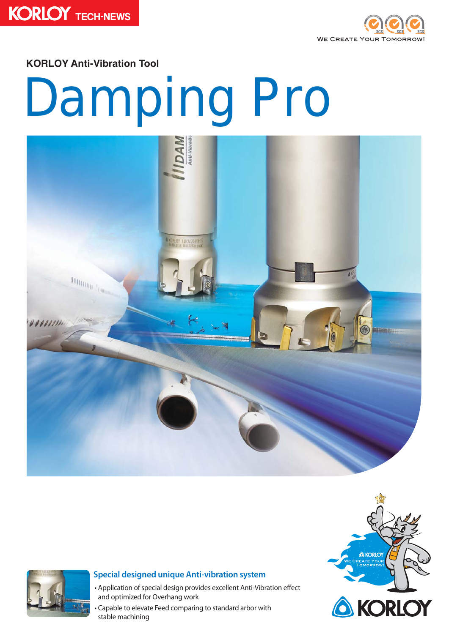



**KORLOY Anti-Vibration Tool** 

# Damping Pro





### **Special designed unique Anti-vibration system**

- Application of special design provides excellent Anti-Vibration effect and optimized for Overhang work
- Capable to elevate Feed comparing to standard arbor with stable machining

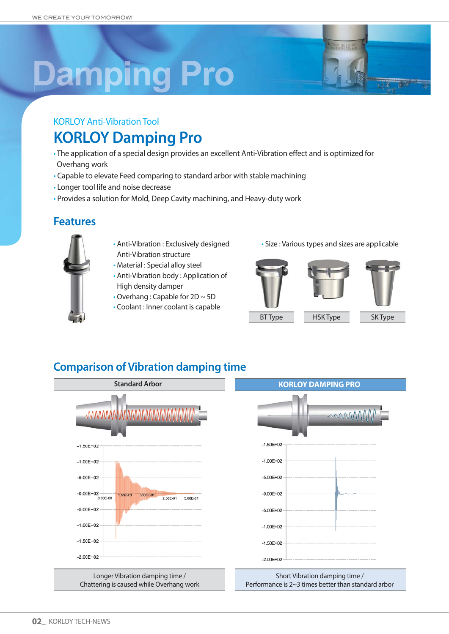# **Damping Pro**

# **KORLOY Anti-Vibration Tool KORLOY Damping Pro**

- The application of a special design provides an excellent Anti-Vibration effect and is optimized for Overhang work
- Capable to elevate Feed comparing to standard arbor with stable machining
- Longer tool life and noise decrease
- Provides a solution for Mold, Deep Cavity machining, and Heavy-duty work

### **Features**



- Anti-Vibration : Exclusively designed Anti-Vibration structure
- Material : Special alloy steel
- Anti-Vibration body: Application of High density damper
- $\cdot$  Overhang: Capable for 2D  $\sim$  5D
- Coolant : Inner coolant is capable

· Size : Various types and sizes are applicable







**BT Type** 

**HSK Type** 

SK Type

# **Comparison of Vibration damping time**

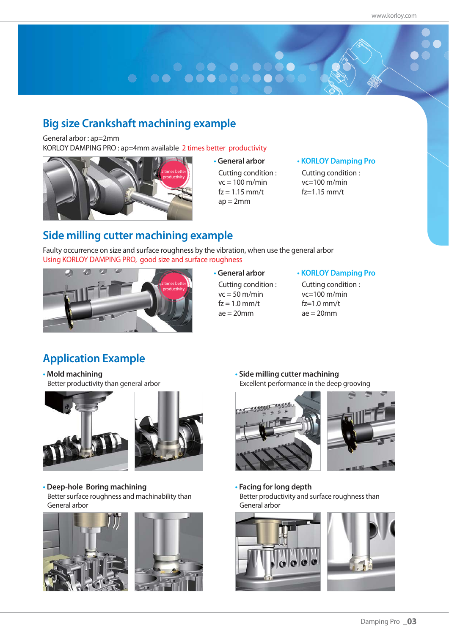# 

# **Big size Crankshaft machining example**

General arbor: ap=2mm

KORLOY DAMPING PRO: ap=4mm available 2 times better productivity



#### **tGeneral arbor**

Cutting condition:  $vc = 100$  m/min  $fz = 1.15$  mm/t  $ap = 2mm$ 

#### **tKORLOY Damping Pro**

Cutting condition:  $vc=100$  m/min  $fz=1.15$  mm/t

# **Side milling cutter machining example**

Faulty occurrence on size and surface roughness by the vibration, when use the general arbor Using KORLOY DAMPING PRO, good size and surface roughness



#### **tGeneral arbor**

Cutting condition:  $vc = 50 m/min$  $fz = 1.0$  mm/t  $ae = 20mm$ 

#### **tKORLOY Damping Pro**

Cutting condition:  $vc=100$  m/min  $fz=1.0$  mm/t  $ae = 20$ mm

# **Application Example**

**tMold machining** Better productivity than general arbor





**tDeep-hole Boring machining**  Better surface roughness and machinability than General arbor





**tSide milling cutter machining**  Excellent performance in the deep grooving



**tFacing for long depth** Better productivity and surface roughness than General arbor